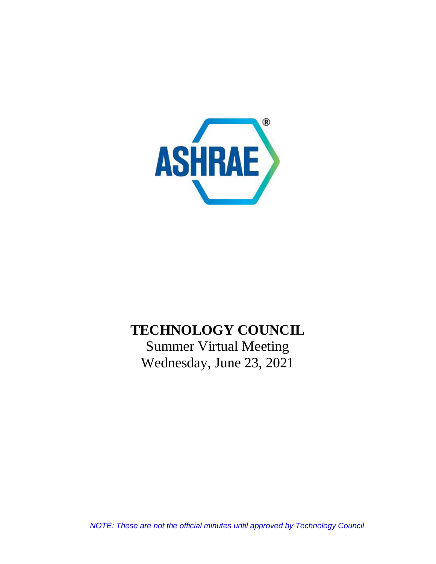

# **TECHNOLOGY COUNCIL**

Summer Virtual Meeting Wednesday, June 23, 2021

*NOTE: These are not the official minutes until approved by Technology Council*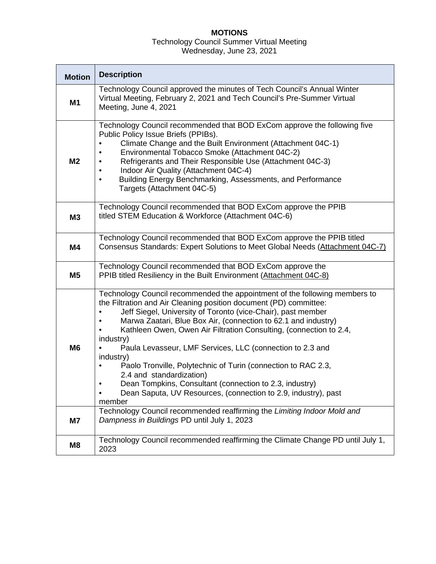# **MOTIONS**

# Technology Council Summer Virtual Meeting

Wednesday, June 23, 2021

| <b>Motion</b>        | <b>Description</b>                                                                                                                                                                                                                                                                                                                                                                                                                                                                                                                                                                                                                                                                                                                                                                                                             |  |  |  |
|----------------------|--------------------------------------------------------------------------------------------------------------------------------------------------------------------------------------------------------------------------------------------------------------------------------------------------------------------------------------------------------------------------------------------------------------------------------------------------------------------------------------------------------------------------------------------------------------------------------------------------------------------------------------------------------------------------------------------------------------------------------------------------------------------------------------------------------------------------------|--|--|--|
| M1                   | Technology Council approved the minutes of Tech Council's Annual Winter<br>Virtual Meeting, February 2, 2021 and Tech Council's Pre-Summer Virtual<br>Meeting, June 4, 2021                                                                                                                                                                                                                                                                                                                                                                                                                                                                                                                                                                                                                                                    |  |  |  |
| M <sub>2</sub>       | Technology Council recommended that BOD ExCom approve the following five<br>Public Policy Issue Briefs (PPIBs).<br>Climate Change and the Built Environment (Attachment 04C-1)<br>$\bullet$<br>Environmental Tobacco Smoke (Attachment 04C-2)<br>٠<br>Refrigerants and Their Responsible Use (Attachment 04C-3)<br>$\bullet$<br>Indoor Air Quality (Attachment 04C-4)<br>$\bullet$<br>Building Energy Benchmarking, Assessments, and Performance<br>$\bullet$<br>Targets (Attachment 04C-5)                                                                                                                                                                                                                                                                                                                                    |  |  |  |
| M <sub>3</sub>       | Technology Council recommended that BOD ExCom approve the PPIB<br>titled STEM Education & Workforce (Attachment 04C-6)                                                                                                                                                                                                                                                                                                                                                                                                                                                                                                                                                                                                                                                                                                         |  |  |  |
| M4                   | Technology Council recommended that BOD ExCom approve the PPIB titled<br>Consensus Standards: Expert Solutions to Meet Global Needs (Attachment 04C-7)                                                                                                                                                                                                                                                                                                                                                                                                                                                                                                                                                                                                                                                                         |  |  |  |
| M <sub>5</sub>       | Technology Council recommended that BOD ExCom approve the<br>PPIB titled Resiliency in the Built Environment (Attachment 04C-8)                                                                                                                                                                                                                                                                                                                                                                                                                                                                                                                                                                                                                                                                                                |  |  |  |
| M <sub>6</sub><br>M7 | Technology Council recommended the appointment of the following members to<br>the Filtration and Air Cleaning position document (PD) committee:<br>Jeff Siegel, University of Toronto (vice-Chair), past member<br>Marwa Zaatari, Blue Box Air, (connection to 62.1 and industry)<br>٠<br>Kathleen Owen, Owen Air Filtration Consulting, (connection to 2.4,<br>industry)<br>Paula Levasseur, LMF Services, LLC (connection to 2.3 and<br>industry)<br>Paolo Tronville, Polytechnic of Turin (connection to RAC 2.3,<br>$\bullet$<br>2.4 and standardization)<br>Dean Tompkins, Consultant (connection to 2.3, industry)<br>Dean Saputa, UV Resources, (connection to 2.9, industry), past<br>member<br>Technology Council recommended reaffirming the Limiting Indoor Mold and<br>Dampness in Buildings PD until July 1, 2023 |  |  |  |
| M8                   | Technology Council recommended reaffirming the Climate Change PD until July 1,<br>2023                                                                                                                                                                                                                                                                                                                                                                                                                                                                                                                                                                                                                                                                                                                                         |  |  |  |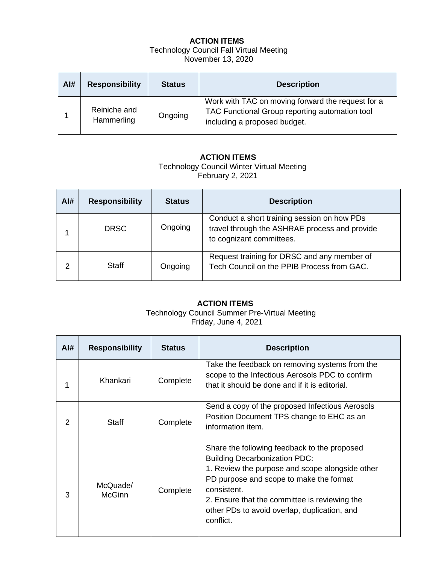## **ACTION ITEMS** Technology Council Fall Virtual Meeting November 13, 2020

| Al# | <b>Responsibility</b>      | <b>Status</b> | <b>Description</b>                                                                                                                  |
|-----|----------------------------|---------------|-------------------------------------------------------------------------------------------------------------------------------------|
|     | Reiniche and<br>Hammerling | Ongoing       | Work with TAC on moving forward the request for a<br>TAC Functional Group reporting automation tool<br>including a proposed budget. |

## **ACTION ITEMS**

Technology Council Winter Virtual Meeting February 2, 2021

| Al# | <b>Responsibility</b> | <b>Status</b> | <b>Description</b>                                                                                                       |
|-----|-----------------------|---------------|--------------------------------------------------------------------------------------------------------------------------|
|     | <b>DRSC</b>           | Ongoing       | Conduct a short training session on how PDs<br>travel through the ASHRAE process and provide<br>to cognizant committees. |
| っ   | Staff                 | Ongoing       | Request training for DRSC and any member of<br>Tech Council on the PPIB Process from GAC.                                |

# **ACTION ITEMS**

Technology Council Summer Pre-Virtual Meeting Friday, June 4, 2021

| AI# | <b>Responsibility</b>     | <b>Status</b> | <b>Description</b>                                                                                                                                                                                                                                                                                              |
|-----|---------------------------|---------------|-----------------------------------------------------------------------------------------------------------------------------------------------------------------------------------------------------------------------------------------------------------------------------------------------------------------|
| 1   | Khankari                  | Complete      | Take the feedback on removing systems from the<br>scope to the Infectious Aerosols PDC to confirm<br>that it should be done and if it is editorial.                                                                                                                                                             |
| 2   | <b>Staff</b>              | Complete      | Send a copy of the proposed Infectious Aerosols<br>Position Document TPS change to EHC as an<br>information item.                                                                                                                                                                                               |
| 3   | McQuade/<br><b>McGinn</b> | Complete      | Share the following feedback to the proposed<br><b>Building Decarbonization PDC:</b><br>1. Review the purpose and scope alongside other<br>PD purpose and scope to make the format<br>consistent.<br>2. Ensure that the committee is reviewing the<br>other PDs to avoid overlap, duplication, and<br>conflict. |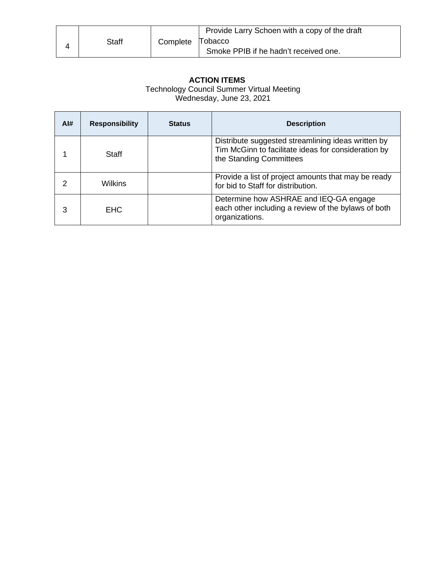|  | <b>Staff</b> |                  | Provide Larry Schoen with a copy of the draft |
|--|--------------|------------------|-----------------------------------------------|
|  |              | Complete Tobacco |                                               |
|  |              |                  | Smoke PPIB if he hadn't received one.         |

# **ACTION ITEMS**

Technology Council Summer Virtual Meeting

Wednesday, June 23, 2021

| Al# | <b>Responsibility</b> | <b>Status</b> | <b>Description</b>                                                                                                                   |
|-----|-----------------------|---------------|--------------------------------------------------------------------------------------------------------------------------------------|
|     | Staff                 |               | Distribute suggested streamlining ideas written by<br>Tim McGinn to facilitate ideas for consideration by<br>the Standing Committees |
|     | Wilkins               |               | Provide a list of project amounts that may be ready<br>for bid to Staff for distribution.                                            |
| 3   | EHC                   |               | Determine how ASHRAE and IEQ-GA engage<br>each other including a review of the bylaws of both<br>organizations.                      |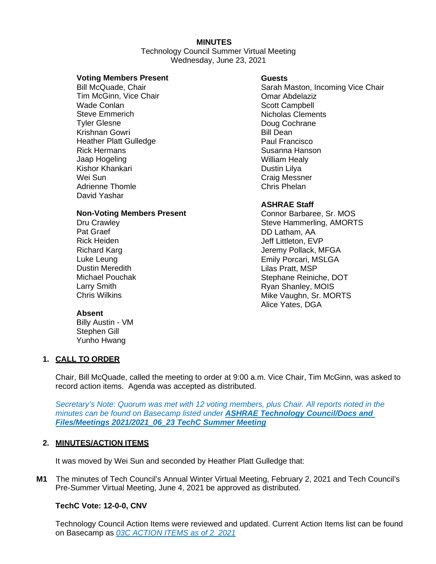# **MINUTES**

 Technology Council Summer Virtual Meeting Wednesday, June 23, 2021

#### **Voting Members Present**

Bill McQuade, Chair Tim McGinn, Vice Chair Wade Conlan Steve Emmerich Tyler Glesne Krishnan Gowri Heather Platt Gulledge Rick Hermans Jaap Hogeling Kishor Khankari Wei Sun Adrienne Thomle David Yashar

#### **Non-Voting Members Present**

Dru Crawley Pat Graef Rick Heiden Richard Karg Luke Leung Dustin Meredith Michael Pouchak Larry Smith Chris Wilkins

# **Guests**

Sarah Maston, Incoming Vice Chair Omar Abdelaziz Scott Campbell Nicholas Clements Doug Cochrane Bill Dean Paul Francisco Susanna Hanson William Healy Dustin Lilya Craig Messner Chris Phelan

# **ASHRAE Staff**

Connor Barbaree, Sr. MOS Steve Hammerling, AMORTS DD Latham, AA Jeff Littleton, EVP Jeremy Pollack, MFGA Emily Porcari, MSLGA Lilas Pratt, MSP Stephane Reiniche, DOT Ryan Shanley, MOIS Mike Vaughn, Sr. MORTS Alice Yates, DGA

# **Absent**

Billy Austin - VM Stephen Gill Yunho Hwang

# **1. CALL TO ORDER**

Chair, Bill McQuade, called the meeting to order at 9:00 a.m. Vice Chair, Tim McGinn, was asked to record action items. Agenda was accepted as distributed.

*Secretary's Note: Quorum was met with 12 voting members, plus Chair. All reports noted in the minutes can be found on Basecamp listed under ASHRAE Technology Council/Docs and Files/Meetings 2021/2021\_06\_23 TechC Summer Meeting*

#### **2. MINUTES/ACTION ITEMS**

It was moved by Wei Sun and seconded by Heather Platt Gulledge that:

**M1** The minutes of Tech Council's Annual Winter Virtual Meeting, February 2, 2021 and Tech Council's Pre-Summer Virtual Meeting, June 4, 2021 be approved as distributed.

#### **TechC Vote: 12-0-0, CNV**

Technology Council Action Items were reviewed and updated. Current Action Items list can be found on Basecamp as *03C ACTION ITEMS as of 2\_2021*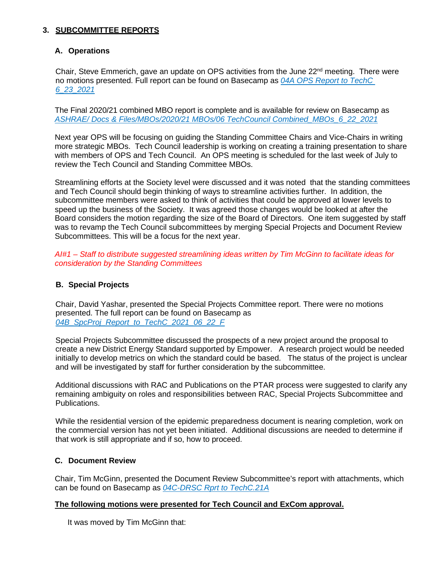# **3. SUBCOMMITTEE REPORTS**

# **A. Operations**

Chair, Steve Emmerich, gave an update on OPS activities from the June  $22^{nd}$  meeting. There were no motions presented. Full report can be found on Basecamp as *04A OPS Report to TechC 6\_23\_2021*

The Final 2020/21 combined MBO report is complete and is available for review on Basecamp as *ASHRAE/ Docs & Files/MBOs/2020/21 MBOs/06 TechCouncil Combined\_MBOs\_6\_22\_2021*

Next year OPS will be focusing on guiding the Standing Committee Chairs and Vice-Chairs in writing more strategic MBOs. Tech Council leadership is working on creating a training presentation to share with members of OPS and Tech Council. An OPS meeting is scheduled for the last week of July to review the Tech Council and Standing Committee MBOs.

Streamlining efforts at the Society level were discussed and it was noted that the standing committees and Tech Council should begin thinking of ways to streamline activities further. In addition, the subcommittee members were asked to think of activities that could be approved at lower levels to speed up the business of the Society. It was agreed those changes would be looked at after the Board considers the motion regarding the size of the Board of Directors. One item suggested by staff was to revamp the Tech Council subcommittees by merging Special Projects and Document Review Subcommittees. This will be a focus for the next year.

*AI#1 – Staff to distribute suggested streamlining ideas written by Tim McGinn to facilitate ideas for consideration by the Standing Committees*

# **B. Special Projects**

Chair, David Yashar, presented the Special Projects Committee report. There were no motions presented. The full report can be found on Basecamp as *04B\_SpcProj\_Report\_to\_TechC\_2021\_06\_22\_F*

Special Projects Subcommittee discussed the prospects of a new project around the proposal to create a new District Energy Standard supported by Empower. A research project would be needed initially to develop metrics on which the standard could be based. The status of the project is unclear and will be investigated by staff for further consideration by the subcommittee.

Additional discussions with RAC and Publications on the PTAR process were suggested to clarify any remaining ambiguity on roles and responsibilities between RAC, Special Projects Subcommittee and Publications.

While the residential version of the epidemic preparedness document is nearing completion, work on the commercial version has not yet been initiated. Additional discussions are needed to determine if that work is still appropriate and if so, how to proceed.

#### **C. Document Review**

Chair, Tim McGinn, presented the Document Review Subcommittee's report with attachments, which can be found on Basecamp as *04C-DRSC Rprt to TechC.21A*

#### **The following motions were presented for Tech Council and ExCom approval.**

It was moved by Tim McGinn that: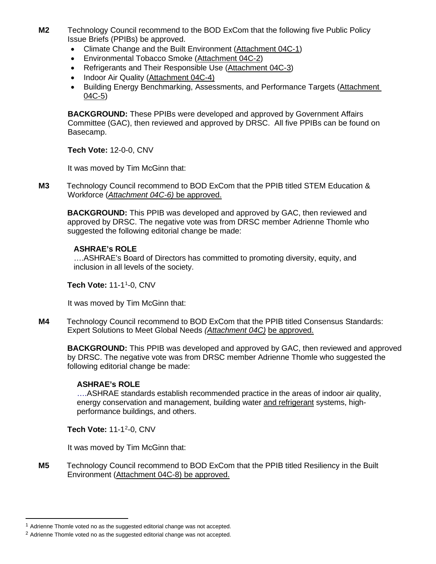- **M2** Technology Council recommend to the BOD ExCom that the following five Public Policy Issue Briefs (PPIBs) be approved.
	- Climate Change and the Built Environment [\(Attachment 04C-1\)](https://public.3.basecamp.com/p/kKezHoTP5dReLP3ncWxvacq4)
	- Environmental Tobacco Smoke [\(Attachment 04C-2\)](https://public.3.basecamp.com/p/67KsR2grVfE4gRY4GZVsN4WQ)
	- Refrigerants and Their Responsible Use [\(Attachment 04C-3\)](https://public.3.basecamp.com/p/LCaaG5Mq5XfHTqjv9Byv7WFA)
	- Indoor Air Quality [\(Attachment 04C-4\)](https://public.3.basecamp.com/p/ZovDSz556zUqnX2UCp61c2gE)
	- Building Energy Benchmarking, Assessments, and Performance Targets [\(Attachment](https://public.3.basecamp.com/p/SHbpGnx3xx65NFzXowQjVvaq)  [04C-5\)](https://public.3.basecamp.com/p/SHbpGnx3xx65NFzXowQjVvaq)

**BACKGROUND:** These PPIBs were developed and approved by Government Affairs Committee (GAC), then reviewed and approved by DRSC. All five PPIBs can be found on Basecamp.

**Tech Vote:** 12-0-0, CNV

It was moved by Tim McGinn that:

**M3** Technology Council recommend to BOD ExCom that the PPIB titled STEM Education & Workforce (*[Attachment 04C-6\)](https://public.3.basecamp.com/p/uLTsdosgpXzCv5LU79NL37an)* be approved.

**BACKGROUND:** This PPIB was developed and approved by GAC, then reviewed and approved by DRSC. The negative vote was from DRSC member Adrienne Thomle who suggested the following editorial change be made:

# **ASHRAE's ROLE**

….ASHRAE's Board of Directors has committed to promoting diversity, equity, and inclusion in all levels of the society.

# **Tech Vote:** 11-1[1](#page-6-0) -0, CNV

It was moved by Tim McGinn that:

**M4** Technology Council recommend to BOD ExCom that the PPIB titled Consensus Standards: Expert Solutions to Meet Global Needs *[\(Attachment 04C\)](https://public.3.basecamp.com/p/JMqyHF1NpHD7ZHFfmaFdCFSK)* be approved.

**BACKGROUND:** This PPIB was developed and approved by GAC, then reviewed and approved by DRSC. The negative vote was from DRSC member Adrienne Thomle who suggested the following editorial change be made:

# **ASHRAE's ROLE**

….ASHRAE standards establish recommended practice in the areas of indoor air quality, energy conservation and management, building water and refrigerant systems, highperformance buildings, and others.

**Tech Vote:** 11-1<sup>[2](#page-6-1)</sup>-0, CNV

It was moved by Tim McGinn that:

**M5** Technology Council recommend to BOD ExCom that the PPIB titled Resiliency in the Built Environment [\(Attachment 04C-8\)](https://public.3.basecamp.com/p/5zz37ft8MaKj2nBeeMe6Rj56) be approved.

<span id="page-6-0"></span> $1$  Adrienne Thomle voted no as the suggested editorial change was not accepted.

<span id="page-6-1"></span><sup>&</sup>lt;sup>2</sup> Adrienne Thomle voted no as the suggested editorial change was not accepted.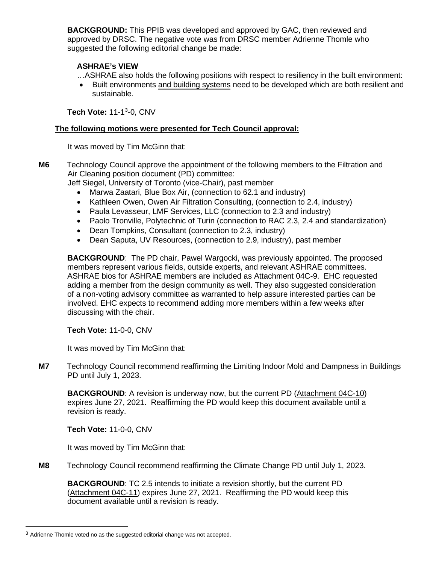**BACKGROUND:** This PPIB was developed and approved by GAC, then reviewed and approved by DRSC. The negative vote was from DRSC member Adrienne Thomle who suggested the following editorial change be made:

# **ASHRAE's VIEW**

…ASHRAE also holds the following positions with respect to resiliency in the built environment:

• Built environments and building systems need to be developed which are both resilient and sustainable.

**Tech Vote:** 11-1[3](#page-7-0) -0, CNV

#### **The following motions were presented for Tech Council approval:**

It was moved by Tim McGinn that:

**M6** Technology Council approve the appointment of the following members to the Filtration and Air Cleaning position document (PD) committee:

Jeff Siegel, University of Toronto (vice-Chair), past member

- Marwa Zaatari, Blue Box Air, (connection to 62.1 and industry)
- Kathleen Owen, Owen Air Filtration Consulting, (connection to 2.4, industry)
- Paula Levasseur, LMF Services, LLC (connection to 2.3 and industry)
- Paolo Tronville, Polytechnic of Turin (connection to RAC 2.3, 2.4 and standardization)
- Dean Tompkins, Consultant (connection to 2.3, industry)
- Dean Saputa, UV Resources, (connection to 2.9, industry), past member

**BACKGROUND:** The PD chair, Pawel Wargocki, was previously appointed. The proposed members represent various fields, outside experts, and relevant ASHRAE committees. ASHRAE bios for ASHRAE members are included as [Attachment 04C-9.](https://public.3.basecamp.com/p/9eRiHgjqt3wdnETqhLFniNce) EHC requested adding a member from the design community as well. They also suggested consideration of a non-voting advisory committee as warranted to help assure interested parties can be involved. EHC expects to recommend adding more members within a few weeks after discussing with the chair.

**Tech Vote:** 11-0-0, CNV

It was moved by Tim McGinn that:

**M7** Technology Council recommend reaffirming the Limiting Indoor Mold and Dampness in Buildings PD until July 1, 2023.

**BACKGROUND**: A revision is underway now, but the current PD [\(Attachment 04C-10\)](https://public.3.basecamp.com/p/cwXvSrcoXxe2YL9F7AmxpdRG) expires June 27, 2021. Reaffirming the PD would keep this document available until a revision is ready.

**Tech Vote:** 11-0-0, CNV

It was moved by Tim McGinn that:

**M8** Technology Council recommend reaffirming the Climate Change PD until July 1, 2023.

**BACKGROUND**: TC 2.5 intends to initiate a revision shortly, but the current PD [\(Attachment 04C-11\)](https://public.3.basecamp.com/p/ozKep6Y92M4e1CWcDDUV2mmM) expires June 27, 2021. Reaffirming the PD would keep this document available until a revision is ready.

<span id="page-7-0"></span><sup>&</sup>lt;sup>3</sup> Adrienne Thomle voted no as the suggested editorial change was not accepted.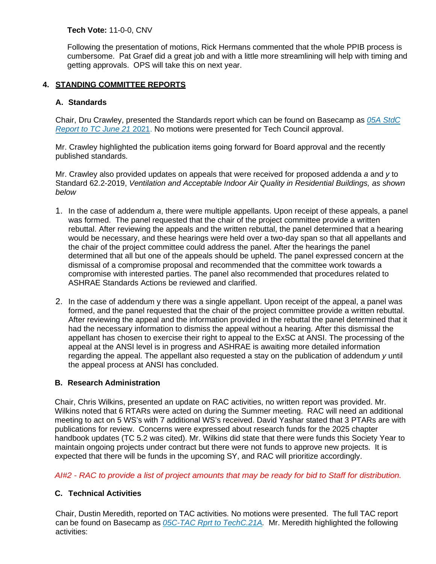#### **Tech Vote:** 11-0-0, CNV

Following the presentation of motions, Rick Hermans commented that the whole PPIB process is cumbersome. Pat Graef did a great job and with a little more streamlining will help with timing and getting approvals. OPS will take this on next year.

# **4. STANDING COMMITTEE REPORTS**

# **A. Standards**

Chair, Dru Crawley, presented the Standards report which can be found on Basecamp as *05A StdC Report to TC June 21* 2021. No motions were presented for Tech Council approval.

Mr. Crawley highlighted the publication items going forward for Board approval and the recently published standards.

Mr. Crawley also provided updates on appeals that were received for proposed addenda *a* and *y* to Standard 62.2-2019, *Ventilation and Acceptable Indoor Air Quality in Residential Buildings, as shown below*

- 1. In the case of addendum *a*, there were multiple appellants. Upon receipt of these appeals, a panel was formed. The panel requested that the chair of the project committee provide a written rebuttal. After reviewing the appeals and the written rebuttal, the panel determined that a hearing would be necessary, and these hearings were held over a two-day span so that all appellants and the chair of the project committee could address the panel. After the hearings the panel determined that all but one of the appeals should be upheld. The panel expressed concern at the dismissal of a compromise proposal and recommended that the committee work towards a compromise with interested parties. The panel also recommended that procedures related to ASHRAE Standards Actions be reviewed and clarified.
- 2. In the case of addendum y there was a single appellant. Upon receipt of the appeal, a panel was formed, and the panel requested that the chair of the project committee provide a written rebuttal. After reviewing the appeal and the information provided in the rebuttal the panel determined that it had the necessary information to dismiss the appeal without a hearing. After this dismissal the appellant has chosen to exercise their right to appeal to the ExSC at ANSI. The processing of the appeal at the ANSI level is in progress and ASHRAE is awaiting more detailed information regarding the appeal. The appellant also requested a stay on the publication of addendum *y* until the appeal process at ANSI has concluded.

#### **B. Research Administration**

Chair, Chris Wilkins, presented an update on RAC activities, no written report was provided. Mr. Wilkins noted that 6 RTARs were acted on during the Summer meeting. RAC will need an additional meeting to act on 5 WS's with 7 additional WS's received. David Yashar stated that 3 PTARs are with publications for review. Concerns were expressed about research funds for the 2025 chapter handbook updates (TC 5.2 was cited). Mr. Wilkins did state that there were funds this Society Year to maintain ongoing projects under contract but there were not funds to approve new projects. It is expected that there will be funds in the upcoming SY, and RAC will prioritize accordingly.

*AI#2 - RAC to provide a list of project amounts that may be ready for bid to Staff for distribution.* 

# **C. Technical Activities**

Chair, Dustin Meredith, reported on TAC activities. No motions were presented. The full TAC report can be found on Basecamp as *05C-TAC Rprt to TechC.21A.* Mr. Meredith highlighted the following activities: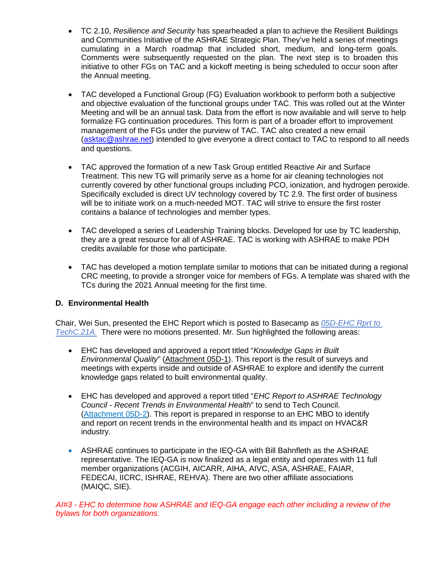- TC 2.10, *Resilience and Security* has spearheaded a plan to achieve the Resilient Buildings and Communities Initiative of the ASHRAE Strategic Plan. They've held a series of meetings cumulating in a March roadmap that included short, medium, and long-term goals. Comments were subsequently requested on the plan. The next step is to broaden this initiative to other FGs on TAC and a kickoff meeting is being scheduled to occur soon after the Annual meeting.
- TAC developed a Functional Group (FG) Evaluation workbook to perform both a subjective and objective evaluation of the functional groups under TAC. This was rolled out at the Winter Meeting and will be an annual task. Data from the effort is now available and will serve to help formalize FG continuation procedures. This form is part of a broader effort to improvement management of the FGs under the purview of TAC. TAC also created a new email [\(asktac@ashrae.net\)](mailto:asktac@ashrae.net) intended to give everyone a direct contact to TAC to respond to all needs and questions.
- TAC approved the formation of a new Task Group entitled Reactive Air and Surface Treatment. This new TG will primarily serve as a home for air cleaning technologies not currently covered by other functional groups including PCO, ionization, and hydrogen peroxide. Specifically excluded is direct UV technology covered by TC 2.9. The first order of business will be to initiate work on a much-needed MOT. TAC will strive to ensure the first roster contains a balance of technologies and member types.
- TAC developed a series of Leadership Training blocks. Developed for use by TC leadership, they are a great resource for all of ASHRAE. TAC is working with ASHRAE to make PDH credits available for those who participate.
- TAC has developed a motion template similar to motions that can be initiated during a regional CRC meeting, to provide a stronger voice for members of FGs. A template was shared with the TCs during the 2021 Annual meeting for the first time.

# **D. Environmental Health**

Chair, Wei Sun, presented the EHC Report which is posted to Basecamp as *05D-EHC Rprt to TechC.21A.* There were no motions presented. Mr. Sun highlighted the following areas:

- EHC has developed and approved a report titled "*Knowledge Gaps in Built Environmental Quality*" [\(Attachment 05D-1\)](https://public.3.basecamp.com/p/jGxb65V4QXJhvYduHWjZ7ETh). This report is the result of surveys and meetings with experts inside and outside of ASHRAE to explore and identify the current knowledge gaps related to built environmental quality.
- EHC has developed and approved a report titled "*EHC Report to ASHRAE Technology Council - Recent Trends in Environmental Health*" to send to Tech Council. [\(Attachment 05D-2\)](https://public.3.basecamp.com/p/NMqZsRCQDuQmxsG1b83kXKfT). This report is prepared in response to an EHC MBO to identify and report on recent trends in the environmental health and its impact on HVAC&R industry.
- ASHRAE continues to participate in the IEQ-GA with Bill Bahnfleth as the ASHRAE representative. The IEQ-GA is now finalized as a legal entity and operates with 11 full member organizations (ACGIH, AICARR, AIHA, AIVC, ASA, ASHRAE, FAIAR, FEDECAI, IICRC, ISHRAE, REHVA). There are two other affiliate associations (MAIQC, SIE).

*AI#3 - EHC to determine how ASHRAE and IEQ-GA engage each other including a review of the bylaws for both organizations.*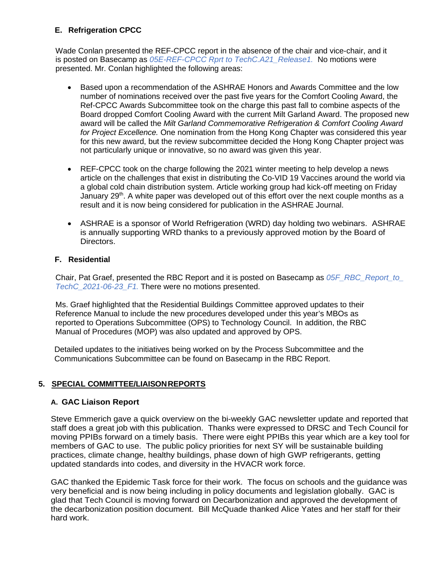# **E. Refrigeration CPCC**

Wade Conlan presented the REF-CPCC report in the absence of the chair and vice-chair, and it is posted on Basecamp as *05E-REF-CPCC Rprt to TechC.A21\_Release1.* No motions were presented. Mr. Conlan highlighted the following areas:

- Based upon a recommendation of the ASHRAE Honors and Awards Committee and the low number of nominations received over the past five years for the Comfort Cooling Award, the Ref-CPCC Awards Subcommittee took on the charge this past fall to combine aspects of the Board dropped Comfort Cooling Award with the current Milt Garland Award. The proposed new award will be called the *Milt Garland Commemorative Refrigeration & Comfort Cooling Award for Project Excellence.* One nomination from the Hong Kong Chapter was considered this year for this new award, but the review subcommittee decided the Hong Kong Chapter project was not particularly unique or innovative, so no award was given this year.
- REF-CPCC took on the charge following the 2021 winter meeting to help develop a news article on the challenges that exist in distributing the Co-VID 19 Vaccines around the world via a global cold chain distribution system. Article working group had kick-off meeting on Friday January  $29<sup>th</sup>$ . A white paper was developed out of this effort over the next couple months as a result and it is now being considered for publication in the ASHRAE Journal.
- ASHRAE is a sponsor of World Refrigeration (WRD) day holding two webinars. ASHRAE is annually supporting WRD thanks to a previously approved motion by the Board of Directors.

# **F. Residential**

Chair, Pat Graef, presented the RBC Report and it is posted on Basecamp as *05F\_RBC\_Report\_to\_ TechC\_2021-06-23\_F1.* There were no motions presented.

Ms. Graef highlighted that the Residential Buildings Committee approved updates to their Reference Manual to include the new procedures developed under this year's MBOs as reported to Operations Subcommittee (OPS) to Technology Council. In addition, the RBC Manual of Procedures (MOP) was also updated and approved by OPS.

Detailed updates to the initiatives being worked on by the Process Subcommittee and the Communications Subcommittee can be found on Basecamp in the RBC Report.

# **5. SPECIAL COMMITTEE/LIAISONREPORTS**

#### **A. GAC Liaison Report**

Steve Emmerich gave a quick overview on the bi-weekly GAC newsletter update and reported that staff does a great job with this publication. Thanks were expressed to DRSC and Tech Council for moving PPIBs forward on a timely basis. There were eight PPIBs this year which are a key tool for members of GAC to use. The public policy priorities for next SY will be sustainable building practices, climate change, healthy buildings, phase down of high GWP refrigerants, getting updated standards into codes, and diversity in the HVACR work force.

GAC thanked the Epidemic Task force for their work. The focus on schools and the guidance was very beneficial and is now being including in policy documents and legislation globally. GAC is glad that Tech Council is moving forward on Decarbonization and approved the development of the decarbonization position document. Bill McQuade thanked Alice Yates and her staff for their hard work.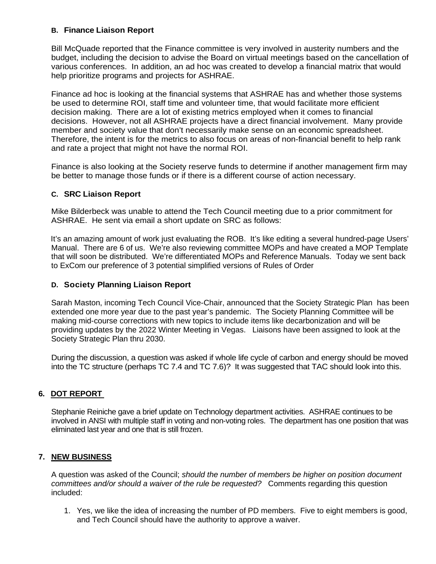# **B. Finance Liaison Report**

Bill McQuade reported that the Finance committee is very involved in austerity numbers and the budget, including the decision to advise the Board on virtual meetings based on the cancellation of various conferences. In addition, an ad hoc was created to develop a financial matrix that would help prioritize programs and projects for ASHRAE.

Finance ad hoc is looking at the financial systems that ASHRAE has and whether those systems be used to determine ROI, staff time and volunteer time, that would facilitate more efficient decision making. There are a lot of existing metrics employed when it comes to financial decisions. However, not all ASHRAE projects have a direct financial involvement. Many provide member and society value that don't necessarily make sense on an economic spreadsheet. Therefore, the intent is for the metrics to also focus on areas of non-financial benefit to help rank and rate a project that might not have the normal ROI.

Finance is also looking at the Society reserve funds to determine if another management firm may be better to manage those funds or if there is a different course of action necessary.

# **C. SRC Liaison Report**

Mike Bilderbeck was unable to attend the Tech Council meeting due to a prior commitment for ASHRAE. He sent via email a short update on SRC as follows:

It's an amazing amount of work just evaluating the ROB. It's like editing a several hundred-page Users' Manual. There are 6 of us. We're also reviewing committee MOPs and have created a MOP Template that will soon be distributed. We're differentiated MOPs and Reference Manuals. Today we sent back to ExCom our preference of 3 potential simplified versions of Rules of Order

# **D. Society Planning Liaison Report**

Sarah Maston, incoming Tech Council Vice-Chair, announced that the Society Strategic Plan has been extended one more year due to the past year's pandemic. The Society Planning Committee will be making mid-course corrections with new topics to include items like decarbonization and will be providing updates by the 2022 Winter Meeting in Vegas. Liaisons have been assigned to look at the Society Strategic Plan thru 2030.

During the discussion, a question was asked if whole life cycle of carbon and energy should be moved into the TC structure (perhaps TC 7.4 and TC 7.6)? It was suggested that TAC should look into this.

# **6. DOT REPORT**

Stephanie Reiniche gave a brief update on Technology department activities. ASHRAE continues to be involved in ANSI with multiple staff in voting and non-voting roles. The department has one position that was eliminated last year and one that is still frozen.

#### **7. NEW BUSINESS**

A question was asked of the Council; *should the number of members be higher on position document committees and/or should a waiver of the rule be requested?* Comments regarding this question included:

1. Yes, we like the idea of increasing the number of PD members. Five to eight members is good, and Tech Council should have the authority to approve a waiver.